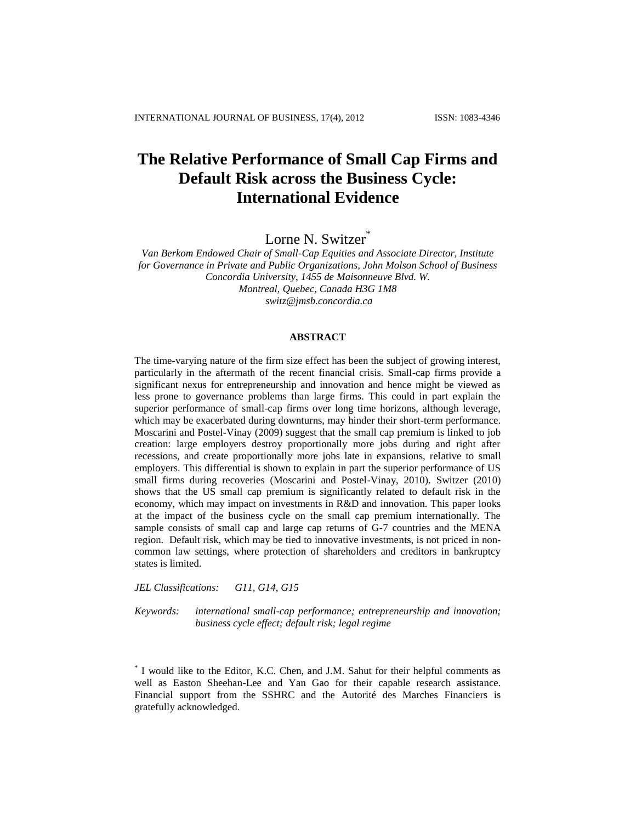# **The Relative Performance of Small Cap Firms and Default Risk across the Business Cycle: International Evidence**

Lorne N. Switzer<sup>\*</sup>

*Van Berkom Endowed Chair of Small-Cap Equities and Associate Director, Institute for Governance in Private and Public Organizations, John Molson School of Business Concordia University, 1455 de Maisonneuve Blvd. W. Montreal, Quebec, Canada H3G 1M8 [switz@jmsb.concordia.ca](mailto:switz@jmsb.concordia.ca)*

# **ABSTRACT**

The time-varying nature of the firm size effect has been the subject of growing interest, particularly in the aftermath of the recent financial crisis. Small-cap firms provide a significant nexus for entrepreneurship and innovation and hence might be viewed as less prone to governance problems than large firms. This could in part explain the superior performance of small-cap firms over long time horizons, although leverage, which may be exacerbated during downturns, may hinder their short-term performance. Moscarini and Postel-Vinay (2009) suggest that the small cap premium is linked to job creation: large employers destroy proportionally more jobs during and right after recessions, and create proportionally more jobs late in expansions, relative to small employers. This differential is shown to explain in part the superior performance of US small firms during recoveries (Moscarini and Postel-Vinay, 2010). Switzer (2010) shows that the US small cap premium is significantly related to default risk in the economy, which may impact on investments in R&D and innovation. This paper looks at the impact of the business cycle on the small cap premium internationally. The sample consists of small cap and large cap returns of G-7 countries and the MENA region. Default risk, which may be tied to innovative investments, is not priced in noncommon law settings, where protection of shareholders and creditors in bankruptcy states is limited.

*JEL Classifications: G11, G14, G15*

*Keywords: international small-cap performance; entrepreneurship and innovation; business cycle effect; default risk; legal regime*

<sup>\*</sup> I would like to the Editor, K.C. Chen, and J.M. Sahut for their helpful comments as well as Easton Sheehan-Lee and Yan Gao for their capable research assistance. Financial support from the SSHRC and the Autorité des Marches Financiers is gratefully acknowledged.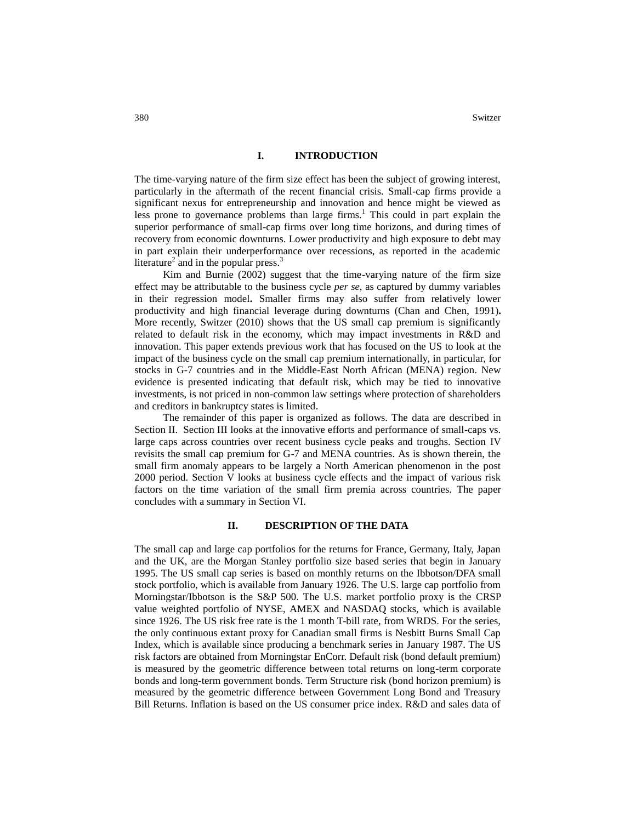## **I. INTRODUCTION**

The time-varying nature of the firm size effect has been the subject of growing interest, particularly in the aftermath of the recent financial crisis. Small-cap firms provide a significant nexus for entrepreneurship and innovation and hence might be viewed as less prone to governance problems than large firms.<sup>1</sup> This could in part explain the superior performance of small-cap firms over long time horizons, and during times of recovery from economic downturns. Lower productivity and high exposure to debt may in part explain their underperformance over recessions, as reported in the academic literature<sup>2</sup> and in the popular press.<sup>3</sup>

Kim and Burnie (2002) suggest that the time-varying nature of the firm size effect may be attributable to the business cycle *per se,* as captured by dummy variables in their regression model**.** Smaller firms may also suffer from relatively lower productivity and high financial leverage during downturns (Chan and Chen, 1991)**.** More recently, Switzer (2010) shows that the US small cap premium is significantly related to default risk in the economy, which may impact investments in R&D and innovation. This paper extends previous work that has focused on the US to look at the impact of the business cycle on the small cap premium internationally, in particular, for stocks in G-7 countries and in the Middle-East North African (MENA) region. New evidence is presented indicating that default risk, which may be tied to innovative investments, is not priced in non-common law settings where protection of shareholders and creditors in bankruptcy states is limited.

The remainder of this paper is organized as follows. The data are described in Section II. Section III looks at the innovative efforts and performance of small-caps vs. large caps across countries over recent business cycle peaks and troughs. Section IV revisits the small cap premium for G-7 and MENA countries. As is shown therein, the small firm anomaly appears to be largely a North American phenomenon in the post 2000 period. Section V looks at business cycle effects and the impact of various risk factors on the time variation of the small firm premia across countries. The paper concludes with a summary in Section VI.

#### **II. DESCRIPTION OF THE DATA**

The small cap and large cap portfolios for the returns for France, Germany, Italy, Japan and the UK, are the Morgan Stanley portfolio size based series that begin in January 1995. The US small cap series is based on monthly returns on the Ibbotson/DFA small stock portfolio, which is available from January 1926. The U.S. large cap portfolio from Morningstar/Ibbotson is the S&P 500. The U.S. market portfolio proxy is the CRSP value weighted portfolio of NYSE, AMEX and NASDAQ stocks, which is available since 1926. The US risk free rate is the 1 month T-bill rate, from WRDS. For the series, the only continuous extant proxy for Canadian small firms is Nesbitt Burns Small Cap Index, which is available since producing a benchmark series in January 1987. The US risk factors are obtained from Morningstar EnCorr. Default risk (bond default premium) is measured by the geometric difference between total returns on long-term corporate bonds and long-term government bonds. Term Structure risk (bond horizon premium) is measured by the geometric difference between Government Long Bond and Treasury Bill Returns. Inflation is based on the US consumer price index. R&D and sales data of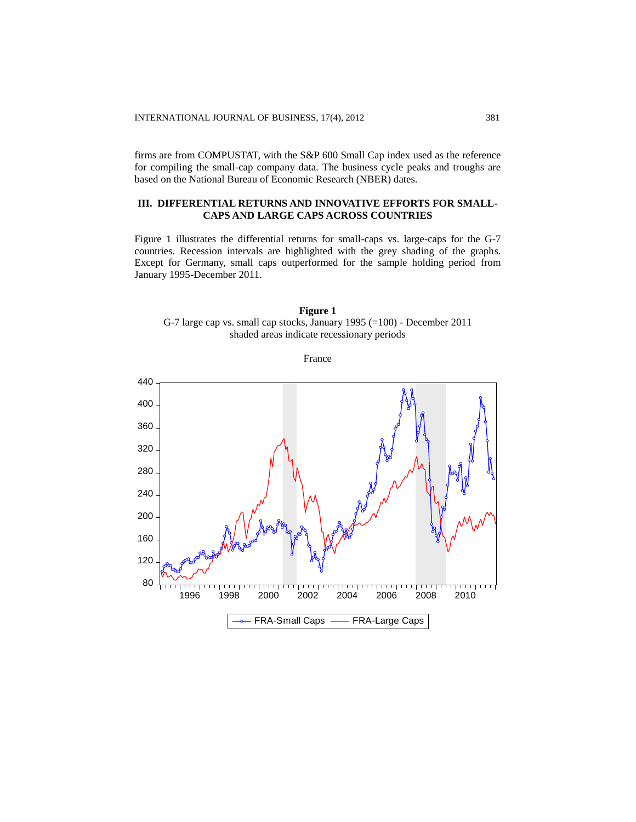firms are from COMPUSTAT, with the S&P 600 Small Cap index used as the reference for compiling the small-cap company data. The business cycle peaks and troughs are based on the National Bureau of Economic Research (NBER) dates.

# **III. DIFFERENTIAL RETURNS AND INNOVATIVE EFFORTS FOR SMALL-CAPS AND LARGE CAPS ACROSS COUNTRIES**

Figure 1 illustrates the differential returns for small-caps vs. large-caps for the G-7 countries. Recession intervals are highlighted with the grey shading of the graphs. Except for Germany, small caps outperformed for the sample holding period from January 1995-December 2011.



France

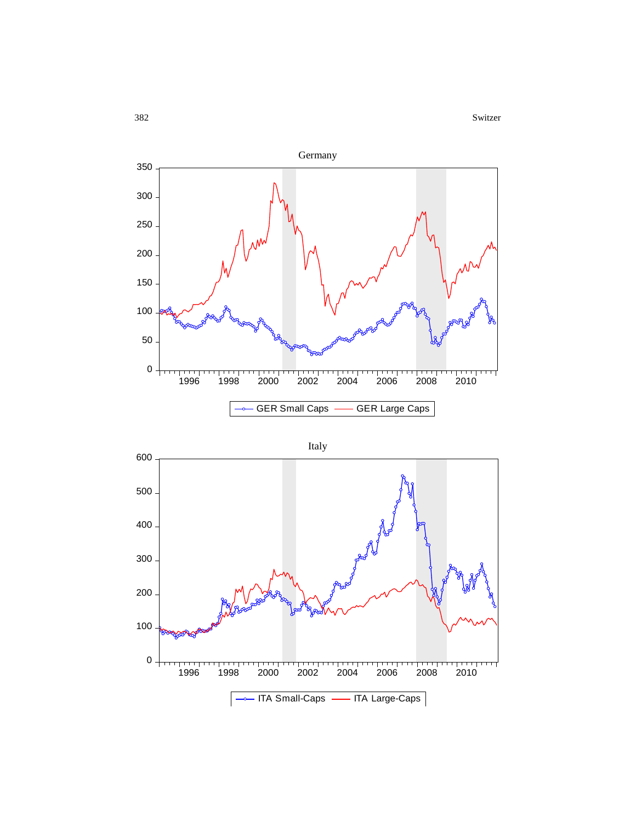

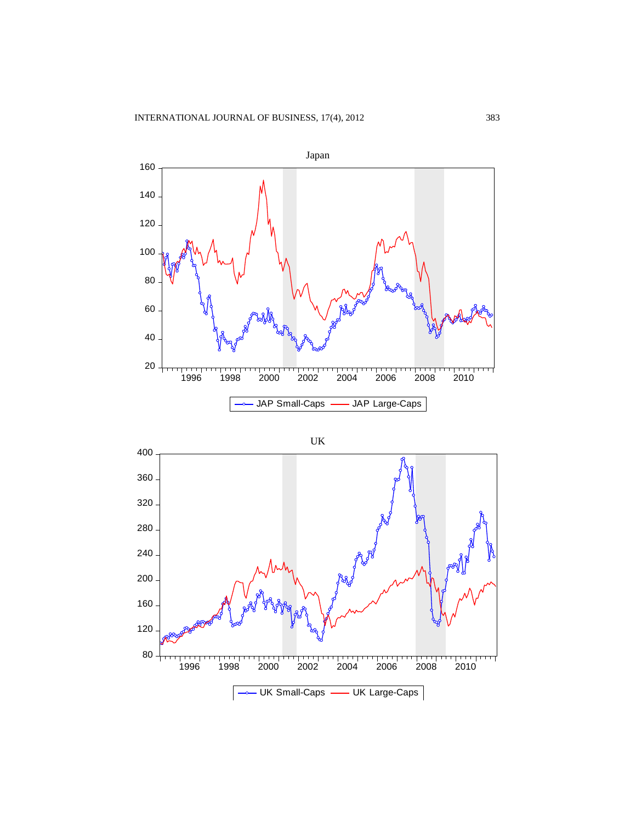

$$
\mathbf{U}\mathbf{K}
$$

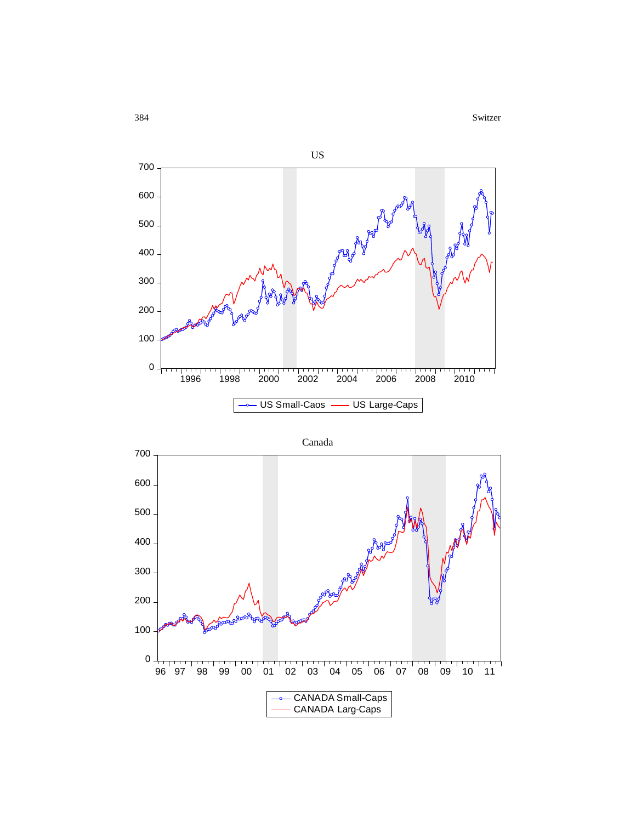



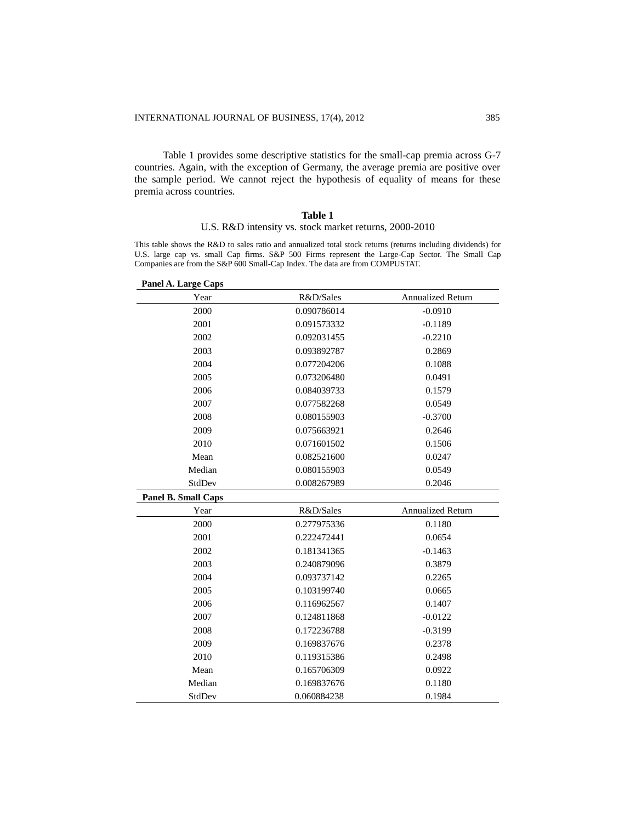Table 1 provides some descriptive statistics for the small-cap premia across G-7 countries. Again, with the exception of Germany, the average premia are positive over the sample period. We cannot reject the hypothesis of equality of means for these premia across countries.

### **Table 1**

### U.S. R&D intensity vs. stock market returns, 2000-2010

This table shows the R&D to sales ratio and annualized total stock returns (returns including dividends) for U.S. large cap vs. small Cap firms. S&P 500 Firms represent the Large-Cap Sector. The Small Cap Companies are from the S&P 600 Small-Cap Index. The data are from COMPUSTAT.

| Panel A. Large Caps |             |                          |
|---------------------|-------------|--------------------------|
| Year                | R&D/Sales   | <b>Annualized Return</b> |
| 2000                | 0.090786014 | $-0.0910$                |
| 2001                | 0.091573332 | $-0.1189$                |
| 2002                | 0.092031455 | $-0.2210$                |
| 2003                | 0.093892787 | 0.2869                   |
| 2004                | 0.077204206 | 0.1088                   |
| 2005                | 0.073206480 | 0.0491                   |
| 2006                | 0.084039733 | 0.1579                   |
| 2007                | 0.077582268 | 0.0549                   |
| 2008                | 0.080155903 | $-0.3700$                |
| 2009                | 0.075663921 | 0.2646                   |
| 2010                | 0.071601502 | 0.1506                   |
| Mean                | 0.082521600 | 0.0247                   |
| Median              | 0.080155903 | 0.0549                   |
| StdDev              | 0.008267989 | 0.2046                   |
| Panel B. Small Caps |             |                          |
| Year                | R&D/Sales   | <b>Annualized Return</b> |
| 2000                | 0.277975336 | 0.1180                   |
| 2001                | 0.222472441 | 0.0654                   |
| 2002                | 0.181341365 | $-0.1463$                |
| 2003                | 0.240879096 | 0.3879                   |
| 2004                | 0.093737142 | 0.2265                   |
| 2005                | 0.103199740 | 0.0665                   |
| 2006                | 0.116962567 | 0.1407                   |
| 2007                | 0.124811868 | $-0.0122$                |
| 2008                | 0.172236788 | $-0.3199$                |
| 2009                | 0.169837676 | 0.2378                   |
| 2010                | 0.119315386 | 0.2498                   |
| Mean                | 0.165706309 | 0.0922                   |
| Median              | 0.169837676 | 0.1180                   |
| StdDev              | 0.060884238 | 0.1984                   |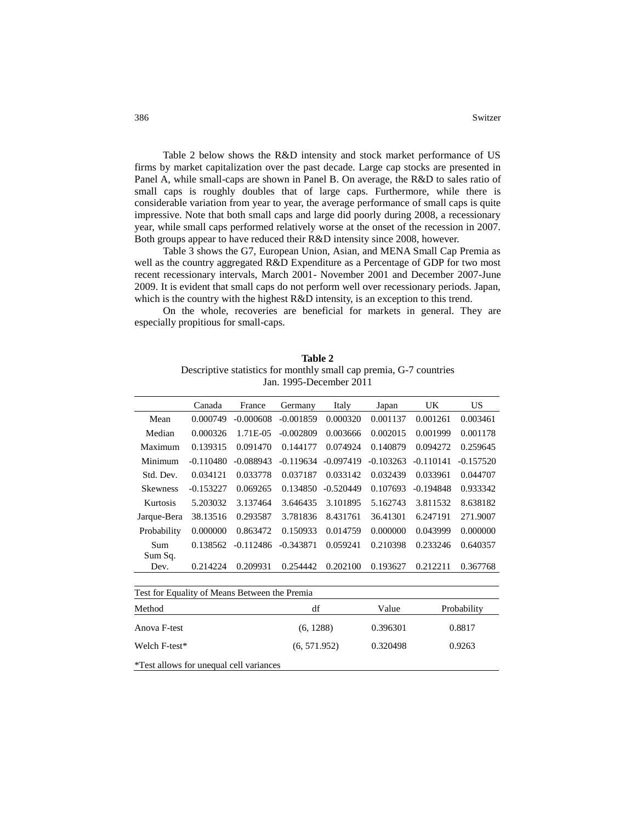Table 2 below shows the R&D intensity and stock market performance of US firms by market capitalization over the past decade. Large cap stocks are presented in Panel A, while small-caps are shown in Panel B. On average, the R&D to sales ratio of small caps is roughly doubles that of large caps. Furthermore, while there is considerable variation from year to year, the average performance of small caps is quite impressive. Note that both small caps and large did poorly during 2008, a recessionary year, while small caps performed relatively worse at the onset of the recession in 2007. Both groups appear to have reduced their R&D intensity since 2008, however.

Table 3 shows the G7, European Union, Asian, and MENA Small Cap Premia as well as the country aggregated R&D Expenditure as a Percentage of GDP for two most recent recessionary intervals, March 2001- November 2001 and December 2007-June 2009. It is evident that small caps do not perform well over recessionary periods. Japan, which is the country with the highest R&D intensity, is an exception to this trend.

On the whole, recoveries are beneficial for markets in general. They are especially propitious for small-caps.

|                                                | Canada      | France      | Germany      | Italy       | Japan       | UK          | <b>US</b>   |
|------------------------------------------------|-------------|-------------|--------------|-------------|-------------|-------------|-------------|
| Mean                                           | 0.000749    | $-0.000608$ | $-0.001859$  | 0.000320    | 0.001137    | 0.001261    | 0.003461    |
| Median                                         | 0.000326    | 1.71E-05    | $-0.002809$  | 0.003666    | 0.002015    | 0.001999    | 0.001178    |
| Maximum                                        | 0.139315    | 0.091470    | 0.144177     | 0.074924    | 0.140879    | 0.094272    | 0.259645    |
| Minimum                                        | $-0.110480$ | $-0.088943$ | $-0.119634$  | $-0.097419$ | $-0.103263$ | $-0.110141$ | $-0.157520$ |
| Std. Dev.                                      | 0.034121    | 0.033778    | 0.037187     | 0.033142    | 0.032439    | 0.033961    | 0.044707    |
| <b>Skewness</b>                                | $-0.153227$ | 0.069265    | 0.134850     | $-0.520449$ | 0.107693    | $-0.194848$ | 0.933342    |
| Kurtosis                                       | 5.203032    | 3.137464    | 3.646435     | 3.101895    | 5.162743    | 3.811532    | 8.638182    |
| Jarque-Bera                                    | 38.13516    | 0.293587    | 3.781836     | 8.431761    | 36.41301    | 6.247191    | 271.9007    |
| Probability                                    | 0.000000    | 0.863472    | 0.150933     | 0.014759    | 0.000000    | 0.043999    | 0.000000    |
| Sum                                            | 0.138562    | $-0.112486$ | $-0.343871$  | 0.059241    | 0.210398    | 0.233246    | 0.640357    |
| Sum Sq.                                        |             |             |              |             |             |             |             |
| Dev.                                           | 0.214224    | 0.209931    | 0.254442     | 0.202100    | 0.193627    | 0.212211    | 0.367768    |
|                                                |             |             |              |             |             |             |             |
| Test for Equality of Means Between the Premia  |             |             |              |             |             |             |             |
| Method                                         |             |             | df           |             | Value       |             | Probability |
| Anova F-test                                   |             |             | (6, 1288)    |             | 0.396301    |             | 0.8817      |
| Welch F-test*                                  |             |             | (6, 571.952) |             | 0.320498    |             | 0.9263      |
| <i>*Test allows for unequal cell variances</i> |             |             |              |             |             |             |             |

**Table 2** Descriptive statistics for monthly small cap premia, G-7 countries Jan. 1995-December 2011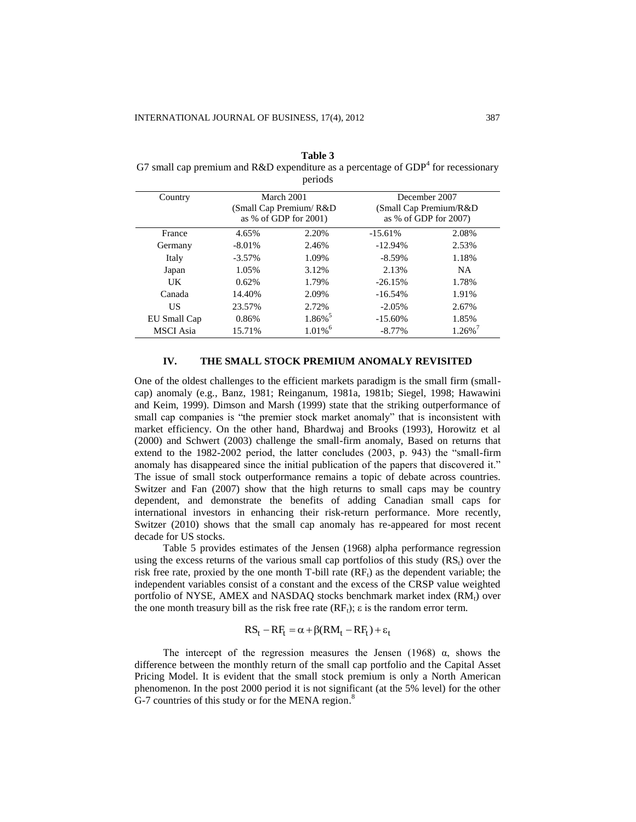**Table 3** G7 small cap premium and R&D expenditure as a percentage of  $GDP<sup>4</sup>$  for recessionary periods

| Country          | March 2001<br>(Small Cap Premium/R&D)<br>as $%$ of GDP for 2001) |                       | December 2007<br>(Small Cap Premium/R&D)<br>as $%$ of GDP for 2007) |          |
|------------------|------------------------------------------------------------------|-----------------------|---------------------------------------------------------------------|----------|
| France           | 4.65%                                                            | 2.20%                 | $-15.61%$                                                           | 2.08%    |
| Germany          | $-8.01\%$                                                        | 2.46%                 | $-12.94%$                                                           | 2.53%    |
| Italy            | $-3.57\%$                                                        | 1.09%                 | $-8.59\%$                                                           | 1.18%    |
| Japan            | 1.05%                                                            | 3.12%                 | 2.13%                                                               | NA.      |
| UK               | 0.62%                                                            | 1.79%                 | $-26.15%$                                                           | 1.78%    |
| Canada           | 14.40%                                                           | 2.09%                 | $-16.54%$                                                           | 1.91%    |
| US               | 23.57%                                                           | 2.72%                 | $-2.05%$                                                            | 2.67%    |
| EU Small Cap     | 0.86%                                                            | $1.86\%$ <sup>5</sup> | $-15.60\%$                                                          | 1.85%    |
| <b>MSCI</b> Asia | 15.71%                                                           | $1.01\%$ <sup>6</sup> | $-8.77\%$                                                           | $1.26\%$ |

## **IV. THE SMALL STOCK PREMIUM ANOMALY REVISITED**

One of the oldest challenges to the efficient markets paradigm is the small firm (smallcap) anomaly (e.g., Banz, 1981; Reinganum, 1981a, 1981b; Siegel, 1998; Hawawini and Keim, 1999). Dimson and Marsh (1999) state that the striking outperformance of small cap companies is "the premier stock market anomaly" that is inconsistent with market efficiency. On the other hand, Bhardwaj and Brooks (1993), Horowitz et al (2000) and Schwert (2003) challenge the small-firm anomaly, Based on returns that extend to the 1982-2002 period, the latter concludes (2003, p. 943) the "small-firm anomaly has disappeared since the initial publication of the papers that discovered it." The issue of small stock outperformance remains a topic of debate across countries. Switzer and Fan (2007) show that the high returns to small caps may be country dependent, and demonstrate the benefits of adding Canadian small caps for international investors in enhancing their risk-return performance. More recently, Switzer (2010) shows that the small cap anomaly has re-appeared for most recent decade for US stocks.

Table 5 provides estimates of the Jensen (1968) alpha performance regression using the excess returns of the various small cap portfolios of this study  $(RS_t)$  over the risk free rate, proxied by the one month  $T$ -bill rate  $(RF_t)$  as the dependent variable; the independent variables consist of a constant and the excess of the CRSP value weighted portfolio of NYSE, AMEX and NASDAQ stocks benchmark market index  $(RM_t)$  over the one month treasury bill as the risk free rate  $(RF_t)$ ;  $\varepsilon$  is the random error term.

$$
RS_t - RF_t = \alpha + \beta (RM_t - RF_t) + \epsilon_t
$$

The intercept of the regression measures the Jensen (1968)  $\alpha$ , shows the difference between the monthly return of the small cap portfolio and the Capital Asset Pricing Model. It is evident that the small stock premium is only a North American phenomenon. In the post 2000 period it is not significant (at the 5% level) for the other  $G-7$  countries of this study or for the MENA region.<sup>8</sup>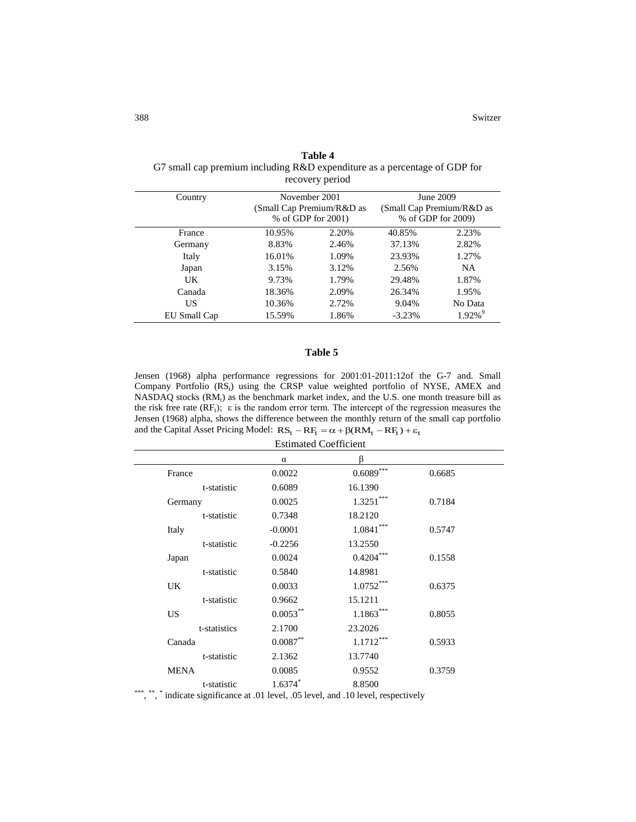| recovery period |        |                                                                  |           |                                                              |  |  |
|-----------------|--------|------------------------------------------------------------------|-----------|--------------------------------------------------------------|--|--|
| Country         |        | November 2001<br>(Small Cap Premium/R&D as<br>% of GDP for 2001) |           | June 2009<br>(Small Cap Premium/R&D as<br>% of GDP for 2009) |  |  |
| France          | 10.95% | 2.20%                                                            | 40.85%    | 2.23%                                                        |  |  |
| Germany         | 8.83%  | 2.46%                                                            | 37.13%    | 2.82%                                                        |  |  |
| Italy           | 16.01% | 1.09%                                                            | 23.93%    | 1.27%                                                        |  |  |
| Japan           | 3.15%  | 3.12%                                                            | 2.56%     | NA.                                                          |  |  |
| UK.             | 9.73%  | 1.79%                                                            | 29.48%    | 1.87%                                                        |  |  |
| Canada          | 18.36% | 2.09%                                                            | 26.34%    | 1.95%                                                        |  |  |
| US              | 10.36% | 2.72%                                                            | 9.04%     | No Data                                                      |  |  |
| EU Small Cap    | 15.59% | 1.86%                                                            | $-3.23\%$ | $1.92\%$ <sup>9</sup>                                        |  |  |
|                 |        |                                                                  |           |                                                              |  |  |

**Table 4** G7 small cap premium including R&D expenditure as a percentage of GDP for recovery period

## **Table 5**

Jensen (1968) alpha performance regressions for 2001:01-2011:12of the G-7 and. Small Company Portfolio  $(RS_t)$  using the CRSP value weighted portfolio of NYSE, AMEX and NASDAQ stocks  $(RM_t)$  as the benchmark market index, and the U.S. one month treasure bill as the risk free rate  $(RF_t)$ ;  $\varepsilon$  is the random error term. The intercept of the regression measures the Jensen (1968) alpha, shows the difference between the monthly return of the small cap portfolio and the Capital Asset Pricing Model:  $RS_t - RF_t = \alpha + \beta (RM_t - RF_t) + \varepsilon_t$ 

Estimated Coefficient

|                         | α           |                |        |  |
|-------------------------|-------------|----------------|--------|--|
| France                  | 0.0022      | $0.6089^{***}$ | 0.6685 |  |
| t-statistic             | 0.6089      | 16.1390        |        |  |
| Germany                 | 0.0025      | $1.3251***$    | 0.7184 |  |
| t-statistic             | 0.7348      | 18.2120        |        |  |
| Italy                   | $-0.0001$   | $1.0841***$    | 0.5747 |  |
| t-statistic             | $-0.2256$   | 13.2550        |        |  |
| Japan                   | 0.0024      | $0.4204***$    | 0.1558 |  |
| t-statistic             | 0.5840      | 14.8981        |        |  |
| UK.                     | 0.0033      | $1.0752***$    | 0.6375 |  |
| t-statistic             | 0.9662      | 15.1211        |        |  |
| <b>US</b>               | $0.0053***$ | $1.1863***$    | 0.8055 |  |
| t-statistics            | 2.1700      | 23.2026        |        |  |
| Canada                  | $0.0087***$ | $1.1712***$    | 0.5933 |  |
| t-statistic             | 2.1362      | 13.7740        |        |  |
| <b>MENA</b>             | 0.0085      | 0.9552         | 0.3759 |  |
| t-statistic<br>*** ** * | $1.6374$ *  | 8.8500         |        |  |
|                         |             |                |        |  |

\*\*\*, \*\*, \*\* indicate significance at .01 level, .05 level, and .10 level, respectively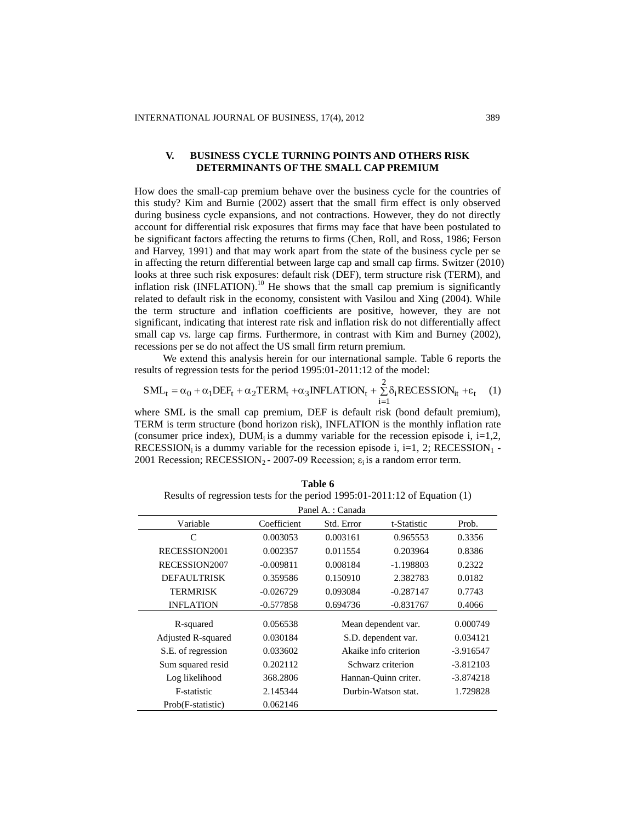# **V. BUSINESS CYCLE TURNING POINTS AND OTHERS RISK DETERMINANTS OF THE SMALL CAP PREMIUM**

How does the small-cap premium behave over the business cycle for the countries of this study? Kim and Burnie (2002) assert that the small firm effect is only observed during business cycle expansions, and not contractions. However, they do not directly account for differential risk exposures that firms may face that have been postulated to be significant factors affecting the returns to firms (Chen, Roll, and Ross, 1986; Ferson and Harvey, 1991) and that may work apart from the state of the business cycle per se in affecting the return differential between large cap and small cap firms. Switzer (2010) looks at three such risk exposures: default risk (DEF), term structure risk (TERM), and inflation risk (INFLATION).<sup>10</sup> He shows that the small cap premium is significantly related to default risk in the economy, consistent with Vasilou and Xing (2004). While the term structure and inflation coefficients are positive, however, they are not significant, indicating that interest rate risk and inflation risk do not differentially affect small cap vs. large cap firms. Furthermore, in contrast with Kim and Burney (2002), recessions per se do not affect the US small firm return premium.

We extend this analysis herein for our international sample. Table 6 reports the results of regression tests for the period 1995:01-2011:12 of the model:

$$
SML_t = \alpha_0 + \alpha_1 DEF_t + \alpha_2 TERM_t + \alpha_3 INFLATION_t + \sum_{i=1}^{2} \delta_i RECESSION_{it} + \varepsilon_t \tag{1}
$$

where SML is the small cap premium, DEF is default risk (bond default premium), TERM is term structure (bond horizon risk), INFLATION is the monthly inflation rate (consumer price index),  $DUM_i$  is a dummy variable for the recession episode i, i=1,2, RECESSION<sub>i</sub> is a dummy variable for the recession episode i, i=1, 2; RECESSION<sub>1</sub> -2001 Recession; RECESSION<sub>2</sub> - 2007-09 Recession;  $\varepsilon_i$  is a random error term.

| Table 6                                                                    |  |  |  |  |
|----------------------------------------------------------------------------|--|--|--|--|
| Results of regression tests for the period 1995:01-2011:12 of Equation (1) |  |  |  |  |
| Panel A. : Canada                                                          |  |  |  |  |

| Panel A. : Canada   |             |                       |                      |           |  |
|---------------------|-------------|-----------------------|----------------------|-----------|--|
| Variable            | Coefficient | Std. Error            | t-Statistic          | Prob.     |  |
| C                   | 0.003053    | 0.003161              | 0.965553             | 0.3356    |  |
| RECESSION2001       | 0.002357    | 0.011554              | 0.203964             | 0.8386    |  |
| RECESSION2007       | $-0.009811$ | 0.008184              | -1.198803            | 0.2322    |  |
| <b>DEFAULTRISK</b>  | 0.359586    | 0.150910              | 2.382783             | 0.0182    |  |
| <b>TERMRISK</b>     | $-0.026729$ | 0.093084              | $-0.287147$          | 0.7743    |  |
| <b>INFLATION</b>    | $-0.577858$ | 0.694736              | $-0.831767$          | 0.4066    |  |
| R-squared           | 0.056538    | Mean dependent var.   |                      | 0.000749  |  |
| Adjusted R-squared  | 0.030184    |                       | S.D. dependent var.  |           |  |
| S.E. of regression  | 0.033602    | Akaike info criterion |                      | -3.916547 |  |
| Sum squared resid   | 0.202112    |                       | Schwarz criterion    |           |  |
| Log likelihood      | 368.2806    |                       | Hannan-Quinn criter. |           |  |
| <b>F</b> -statistic | 2.145344    |                       | Durbin-Watson stat.  |           |  |
| Prob(F-statistic)   | 0.062146    |                       |                      |           |  |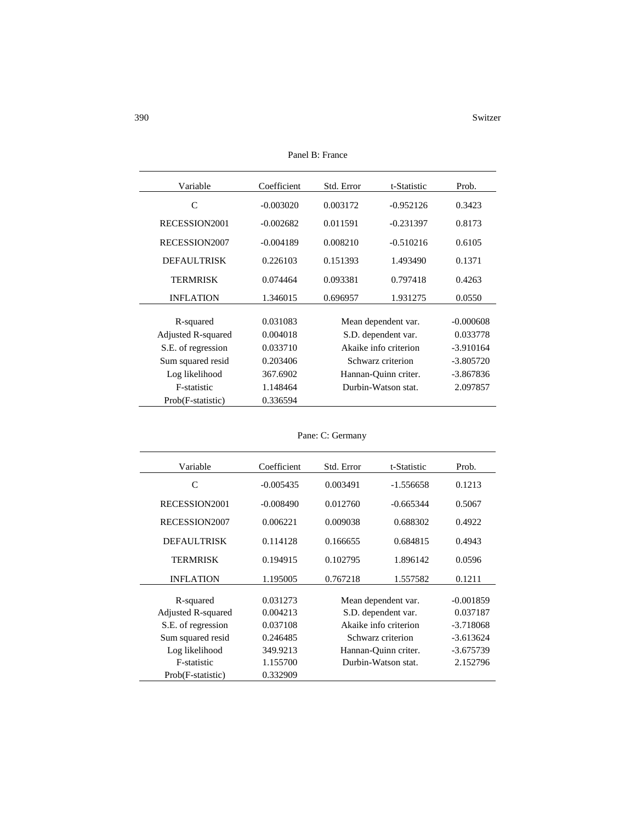| Variable           | Coefficient | Std. Error            | t-Statistic          | Prob.       |
|--------------------|-------------|-----------------------|----------------------|-------------|
| C                  | $-0.003020$ | 0.003172              | $-0.952126$          | 0.3423      |
| RECESSION2001      | $-0.002682$ | 0.011591              | $-0.231397$          | 0.8173      |
| RECESSION2007      | $-0.004189$ | 0.008210              | $-0.510216$          | 0.6105      |
| <b>DEFAULTRISK</b> | 0.226103    | 0.151393              | 1.493490             | 0.1371      |
| <b>TERMRISK</b>    | 0.074464    | 0.093381              | 0.797418             | 0.4263      |
| <b>INFLATION</b>   | 1.346015    | 0.696957              | 1.931275             | 0.0550      |
| R-squared          | 0.031083    |                       | Mean dependent var.  | $-0.000608$ |
| Adjusted R-squared | 0.004018    | S.D. dependent var.   |                      | 0.033778    |
| S.E. of regression | 0.033710    | Akaike info criterion |                      | $-3.910164$ |
| Sum squared resid  | 0.203406    |                       | Schwarz criterion    |             |
| Log likelihood     | 367.6902    |                       | Hannan-Quinn criter. |             |
| F-statistic        | 1.148464    |                       | Durbin-Watson stat.  |             |
| Prob(F-statistic)  | 0.336594    |                       |                      |             |

Panel B: France

| Variable           | Coefficient | Std. Error            | t-Statistic          | Prob.       |
|--------------------|-------------|-----------------------|----------------------|-------------|
| C                  | $-0.005435$ | 0.003491              | $-1.556658$          | 0.1213      |
| RECESSION2001      | $-0.008490$ | 0.012760              | $-0.665344$          | 0.5067      |
| RECESSION2007      | 0.006221    | 0.009038              | 0.688302             | 0.4922      |
| <b>DEFAULTRISK</b> | 0.114128    | 0.166655              | 0.684815             | 0.4943      |
| <b>TERMRISK</b>    | 0.194915    | 0.102795              | 1.896142             | 0.0596      |
| <b>INFLATION</b>   | 1.195005    | 0.767218              | 1.557582             | 0.1211      |
| R-squared          | 0.031273    |                       | Mean dependent var.  | $-0.001859$ |
| Adjusted R-squared | 0.004213    | S.D. dependent var.   |                      | 0.037187    |
| S.E. of regression | 0.037108    | Akaike info criterion |                      | $-3.718068$ |
| Sum squared resid  | 0.246485    |                       | Schwarz criterion    |             |
| Log likelihood     | 349.9213    |                       | Hannan-Quinn criter. | $-3.675739$ |
| F-statistic        | 1.155700    |                       | Durbin-Watson stat.  | 2.152796    |
| Prob(F-statistic)  | 0.332909    |                       |                      |             |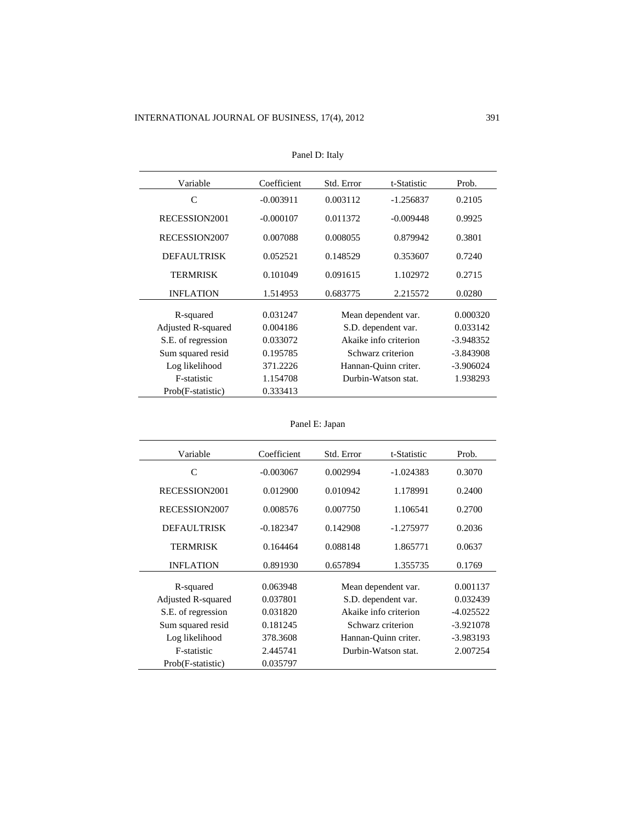| Variable           | Coefficient | Std. Error            | t-Statistic          | Prob.       |
|--------------------|-------------|-----------------------|----------------------|-------------|
| C                  | $-0.003911$ | 0.003112              | $-1.256837$          | 0.2105      |
| RECESSION2001      | $-0.000107$ | 0.011372              | $-0.009448$          | 0.9925      |
| RECESSION2007      | 0.007088    | 0.008055              | 0.879942             | 0.3801      |
| <b>DEFAULTRISK</b> | 0.052521    | 0.148529              | 0.353607             | 0.7240      |
| <b>TERMRISK</b>    | 0.101049    | 0.091615              | 1.102972             | 0.2715      |
| <b>INFLATION</b>   | 1.514953    | 0.683775              | 2.215572             | 0.0280      |
|                    |             |                       |                      |             |
| R-squared          | 0.031247    |                       | Mean dependent var.  | 0.000320    |
| Adjusted R-squared | 0.004186    | S.D. dependent var.   |                      | 0.033142    |
| S.E. of regression | 0.033072    | Akaike info criterion |                      | $-3.948352$ |
| Sum squared resid  | 0.195785    | Schwarz criterion     |                      | $-3.843908$ |
| Log likelihood     | 371.2226    |                       | Hannan-Quinn criter. |             |
| F-statistic        | 1.154708    | Durbin-Watson stat.   |                      | 1.938293    |
| Prob(F-statistic)  | 0.333413    |                       |                      |             |

| Panel D: Italy |  |
|----------------|--|
|----------------|--|

```
Panel E: Japan
```

| Variable           | Coefficient | Std. Error            | t-Statistic | Prob.       |
|--------------------|-------------|-----------------------|-------------|-------------|
| C                  | $-0.003067$ | 0.002994              | $-1.024383$ | 0.3070      |
| RECESSION2001      | 0.012900    | 0.010942              | 1.178991    | 0.2400      |
| RECESSION2007      | 0.008576    | 0.007750              | 1.106541    | 0.2700      |
| <b>DEFAULTRISK</b> | $-0.182347$ | 0.142908              | -1.275977   | 0.2036      |
| TERMRISK           | 0.164464    | 0.088148              | 1.865771    | 0.0637      |
| <b>INFLATION</b>   | 0.891930    | 0.657894              | 1.355735    | 0.1769      |
| R-squared          | 0.063948    | Mean dependent var.   |             | 0.001137    |
| Adjusted R-squared | 0.037801    | S.D. dependent var.   |             | 0.032439    |
| S.E. of regression | 0.031820    | Akaike info criterion |             | -4.025522   |
| Sum squared resid  | 0.181245    | Schwarz criterion     |             | $-3.921078$ |
| Log likelihood     | 378.3608    | Hannan-Quinn criter.  |             | -3.983193   |
| F-statistic        | 2.445741    | Durbin-Watson stat.   |             | 2.007254    |
| Prob(F-statistic)  | 0.035797    |                       |             |             |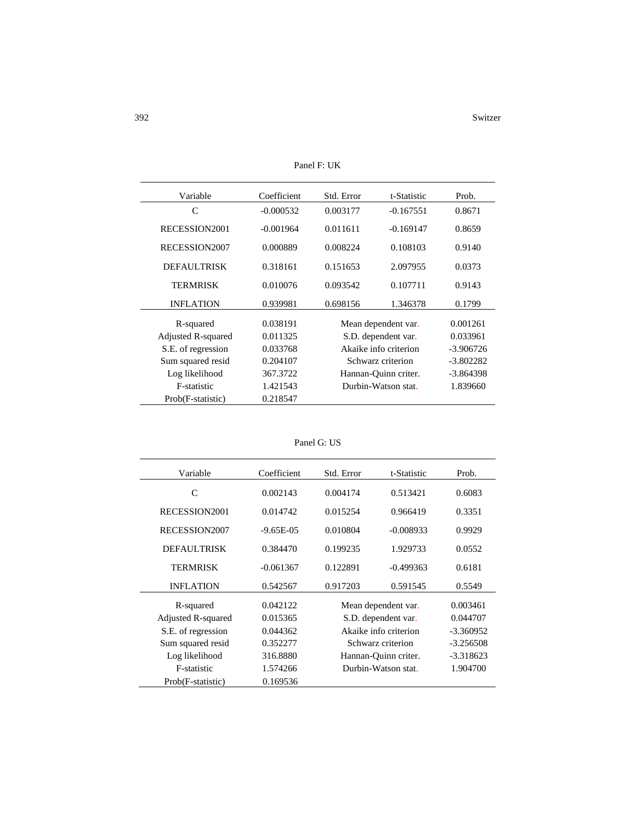| Variable           | Coefficient | Std. Error            | t-Statistic | Prob.       |
|--------------------|-------------|-----------------------|-------------|-------------|
| C                  | $-0.000532$ | 0.003177              | $-0.167551$ | 0.8671      |
|                    |             |                       |             |             |
| RECESSION2001      | $-0.001964$ | 0.011611              | $-0.169147$ | 0.8659      |
| RECESSION2007      | 0.000889    | 0.008224              | 0.108103    | 0.9140      |
| <b>DEFAULTRISK</b> | 0.318161    | 0.151653              | 2.097955    | 0.0373      |
| <b>TERMRISK</b>    | 0.010076    | 0.093542              | 0.107711    | 0.9143      |
| <b>INFLATION</b>   | 0.939981    | 0.698156              | 1.346378    | 0.1799      |
| R-squared          | 0.038191    | Mean dependent var.   |             | 0.001261    |
| Adjusted R-squared | 0.011325    | S.D. dependent var.   |             | 0.033961    |
| S.E. of regression | 0.033768    | Akaike info criterion |             | $-3.906726$ |
| Sum squared resid  | 0.204107    | Schwarz criterion     |             | $-3.802282$ |
| Log likelihood     | 367.3722    | Hannan-Quinn criter.  |             | -3.864398   |
| F-statistic        | 1.421543    | Durbin-Watson stat.   |             | 1.839660    |
| Prob(F-statistic)  | 0.218547    |                       |             |             |

Panel F: UK

| Panel G: US |  |  |
|-------------|--|--|
|-------------|--|--|

| Variable           | Coefficient    | Std. Error            | t-Statistic | Prob.       |
|--------------------|----------------|-----------------------|-------------|-------------|
| C                  | 0.002143       | 0.004174              | 0.513421    | 0.6083      |
| RECESSION2001      | 0.014742       | 0.015254              | 0.966419    | 0.3351      |
| RECESSION2007      | $-9.65E - 0.5$ | 0.010804              | $-0.008933$ | 0.9929      |
| <b>DEFAULTRISK</b> | 0.384470       | 0.199235              | 1.929733    | 0.0552      |
| <b>TERMRISK</b>    | $-0.061367$    | 0.122891              | $-0.499363$ | 0.6181      |
| <b>INFLATION</b>   | 0.542567       | 0.917203              | 0.591545    | 0.5549      |
|                    |                |                       |             |             |
| R-squared          | 0.042122       | Mean dependent var.   |             | 0.003461    |
| Adjusted R-squared | 0.015365       | S.D. dependent var.   |             | 0.044707    |
| S.E. of regression | 0.044362       | Akaike info criterion |             | $-3.360952$ |
| Sum squared resid  | 0.352277       | Schwarz criterion     |             | $-3.256508$ |
| Log likelihood     | 316.8880       | Hannan-Quinn criter.  |             | $-3.318623$ |
| F-statistic        | 1.574266       | Durbin-Watson stat.   |             | 1.904700    |
| Prob(F-statistic)  | 0.169536       |                       |             |             |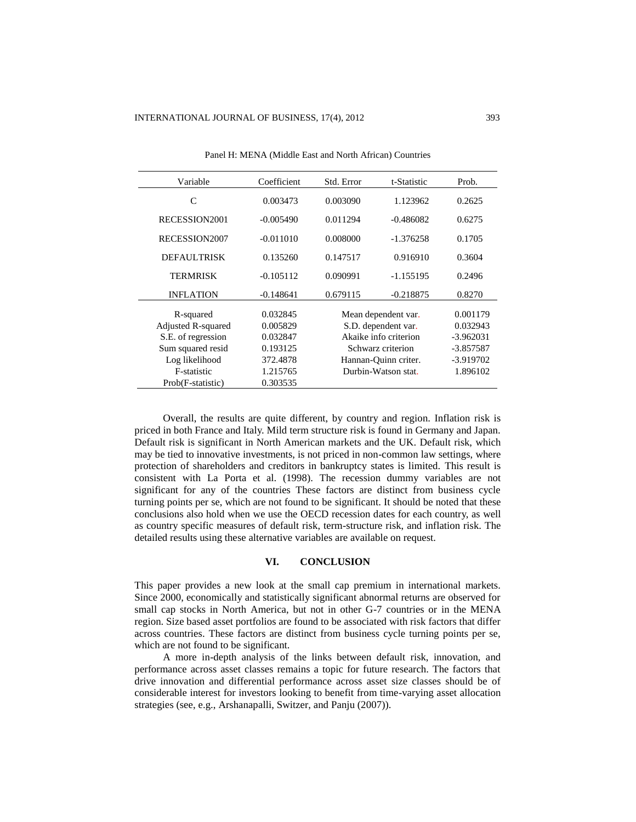| Variable           | Coefficient | Std. Error            | t-Statistic | Prob.       |
|--------------------|-------------|-----------------------|-------------|-------------|
| C                  | 0.003473    | 0.003090              | 1.123962    | 0.2625      |
| RECESSION2001      | $-0.005490$ | 0.011294              | $-0.486082$ | 0.6275      |
| RECESSION2007      | $-0.011010$ | 0.008000              | $-1.376258$ | 0.1705      |
| <b>DEFAULTRISK</b> | 0.135260    | 0.147517              | 0.916910    | 0.3604      |
| TERMRISK           | $-0.105112$ | 0.090991              | $-1.155195$ | 0.2496      |
| <b>INFLATION</b>   | $-0.148641$ | 0.679115              | $-0.218875$ | 0.8270      |
| R-squared          | 0.032845    | Mean dependent var.   |             | 0.001179    |
| Adjusted R-squared | 0.005829    | S.D. dependent var.   |             | 0.032943    |
| S.E. of regression | 0.032847    | Akaike info criterion |             | $-3.962031$ |
| Sum squared resid  | 0.193125    | Schwarz criterion     |             | $-3.857587$ |
| Log likelihood     | 372.4878    | Hannan-Quinn criter.  |             | -3.919702   |
| F-statistic        | 1.215765    | Durbin-Watson stat.   |             | 1.896102    |
| Prob(F-statistic)  | 0.303535    |                       |             |             |

Panel H: MENA (Middle East and North African) Countries

Overall, the results are quite different, by country and region. Inflation risk is priced in both France and Italy. Mild term structure risk is found in Germany and Japan. Default risk is significant in North American markets and the UK. Default risk, which may be tied to innovative investments, is not priced in non-common law settings, where protection of shareholders and creditors in bankruptcy states is limited. This result is consistent with La Porta et al. (1998). The recession dummy variables are not significant for any of the countries These factors are distinct from business cycle turning points per se, which are not found to be significant. It should be noted that these conclusions also hold when we use the OECD recession dates for each country, as well as country specific measures of default risk, term-structure risk, and inflation risk. The detailed results using these alternative variables are available on request.

#### **VI. CONCLUSION**

This paper provides a new look at the small cap premium in international markets. Since 2000, economically and statistically significant abnormal returns are observed for small cap stocks in North America, but not in other G-7 countries or in the MENA region. Size based asset portfolios are found to be associated with risk factors that differ across countries. These factors are distinct from business cycle turning points per se, which are not found to be significant.

A more in-depth analysis of the links between default risk, innovation, and performance across asset classes remains a topic for future research. The factors that drive innovation and differential performance across asset size classes should be of considerable interest for investors looking to benefit from time-varying asset allocation strategies (see, e.g., Arshanapalli, Switzer, and Panju (2007)).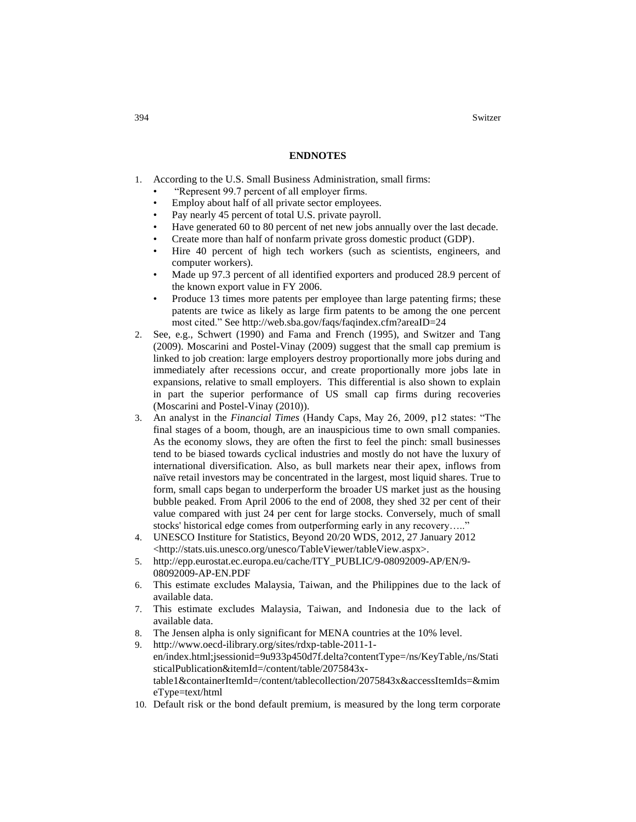394 Switzer

#### **ENDNOTES**

- 1. According to the U.S. Small Business Administration, small firms:
	- "Represent 99.7 percent of all employer firms.
	- Employ about half of all private sector employees.
	- Pay nearly 45 percent of total U.S. private payroll.
	- Have generated 60 to 80 percent of net new jobs annually over the last decade.
	- Create more than half of nonfarm private gross domestic product (GDP).
	- Hire 40 percent of high tech workers (such as scientists, engineers, and computer workers).
	- Made up 97.3 percent of all identified exporters and produced 28.9 percent of the known export value in FY 2006.
	- Produce 13 times more patents per employee than large patenting firms; these patents are twice as likely as large firm patents to be among the one percent most cited." See<http://web.sba.gov/faqs/faqindex.cfm?areaID=24>
- 2. See, e.g., Schwert (1990) and Fama and French (1995), and Switzer and Tang (2009). Moscarini and Postel-Vinay (2009) suggest that the small cap premium is linked to job creation: large employers destroy proportionally more jobs during and immediately after recessions occur, and create proportionally more jobs late in expansions, relative to small employers. This differential is also shown to explain in part the superior performance of US small cap firms during recoveries (Moscarini and Postel-Vinay (2010)).
- 3. An analyst in the *Financial Times* (Handy Caps, May 26, 2009, p12 states: "The final stages of a boom, though, are an inauspicious time to own small companies. As the economy slows, they are often the first to feel the pinch: small businesses tend to be biased towards cyclical industries and mostly do not have the luxury of international diversification. Also, as bull markets near their apex, inflows from naïve retail investors may be concentrated in the largest, most liquid shares. True to form, small caps began to underperform the broader US market just as the housing bubble peaked. From April 2006 to the end of 2008, they shed 32 per cent of their value compared with just 24 per cent for large stocks. Conversely, much of small stocks' historical edge comes from outperforming early in any recovery….."
- 4. UNESCO Institure for Statistics, Beyond 20/20 WDS, 2012, 27 January 2012 <http://stats.uis.unesco.org/unesco/TableViewer/tableView.aspx>.
- 5. [http://epp.eurostat.ec.europa.eu/cache/ITY\\_PUBLIC/9-08092009-AP/EN/9-](http://epp.eurostat.ec.europa.eu/cache/ITY_PUBLIC/9-08092009-AP/EN/9-08092009-AP-EN.PDF) [08092009-AP-EN.PDF](http://epp.eurostat.ec.europa.eu/cache/ITY_PUBLIC/9-08092009-AP/EN/9-08092009-AP-EN.PDF)
- 6. This estimate excludes Malaysia, Taiwan, and the Philippines due to the lack of available data.
- 7. This estimate excludes Malaysia, Taiwan, and Indonesia due to the lack of available data.
- 8. The Jensen alpha is only significant for MENA countries at the 10% level.
- 9. [http://www.oecd-ilibrary.org/sites/rdxp-table-2011-1](http://www.oecd-ilibrary.org/sites/rdxp-table-2011-1-en/index.html;jsessionid=9u933p450d7f.delta?contentType=/ns/KeyTable,/ns/StatisticalPublication&itemId=/content/table/2075843x-table1&containerItemId=/content/tablecollection/2075843x&accessItemIds=&mimeType=text/html) [en/index.html;jsessionid=9u933p450d7f.delta?contentType=/ns/KeyTable,/ns/Stati](http://www.oecd-ilibrary.org/sites/rdxp-table-2011-1-en/index.html;jsessionid=9u933p450d7f.delta?contentType=/ns/KeyTable,/ns/StatisticalPublication&itemId=/content/table/2075843x-table1&containerItemId=/content/tablecollection/2075843x&accessItemIds=&mimeType=text/html) [sticalPublication&itemId=/content/table/2075843x](http://www.oecd-ilibrary.org/sites/rdxp-table-2011-1-en/index.html;jsessionid=9u933p450d7f.delta?contentType=/ns/KeyTable,/ns/StatisticalPublication&itemId=/content/table/2075843x-table1&containerItemId=/content/tablecollection/2075843x&accessItemIds=&mimeType=text/html)[table1&containerItemId=/content/tablecollection/2075843x&accessItemIds=&mim](http://www.oecd-ilibrary.org/sites/rdxp-table-2011-1-en/index.html;jsessionid=9u933p450d7f.delta?contentType=/ns/KeyTable,/ns/StatisticalPublication&itemId=/content/table/2075843x-table1&containerItemId=/content/tablecollection/2075843x&accessItemIds=&mimeType=text/html) [eType=text/html](http://www.oecd-ilibrary.org/sites/rdxp-table-2011-1-en/index.html;jsessionid=9u933p450d7f.delta?contentType=/ns/KeyTable,/ns/StatisticalPublication&itemId=/content/table/2075843x-table1&containerItemId=/content/tablecollection/2075843x&accessItemIds=&mimeType=text/html)
- 10. Default risk or the bond default premium, is measured by the long term corporate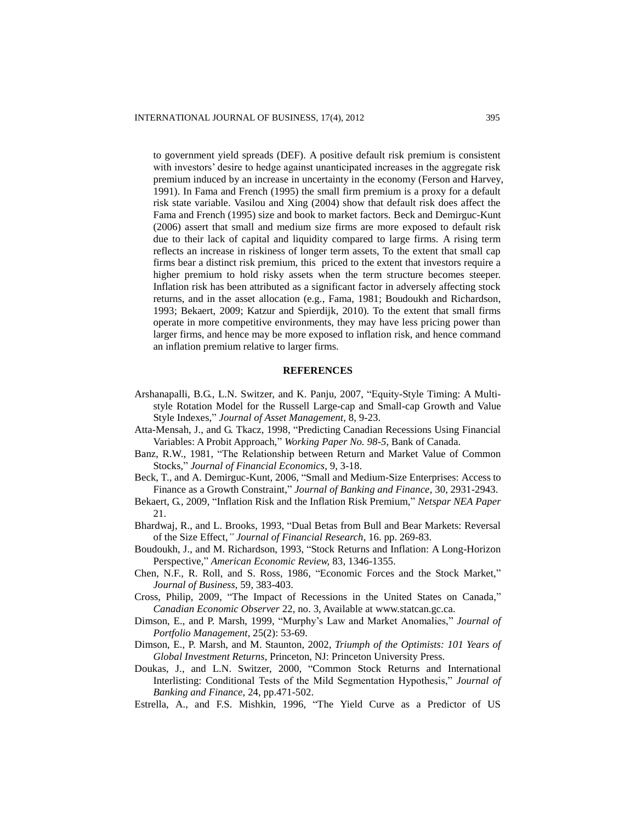to government yield spreads (DEF). A positive default risk premium is consistent with investors' desire to hedge against unanticipated increases in the aggregate risk premium induced by an increase in uncertainty in the economy (Ferson and Harvey, 1991). In Fama and French (1995) the small firm premium is a proxy for a default risk state variable. Vasilou and Xing (2004) show that default risk does affect the Fama and French (1995) size and book to market factors. Beck and Demirguc-Kunt (2006) assert that small and medium size firms are more exposed to default risk due to their lack of capital and liquidity compared to large firms. A rising term reflects an increase in riskiness of longer term assets, To the extent that small cap firms bear a distinct risk premium, this priced to the extent that investors require a higher premium to hold risky assets when the term structure becomes steeper. Inflation risk has been attributed as a significant factor in adversely affecting stock returns, and in the asset allocation (e.g., Fama, 1981; Boudoukh and Richardson, 1993; Bekaert, 2009; Katzur and Spierdijk, 2010). To the extent that small firms operate in more competitive environments, they may have less pricing power than larger firms, and hence may be more exposed to inflation risk, and hence command an inflation premium relative to larger firms.

## **REFERENCES**

- Arshanapalli, B.G., L.N. Switzer, and K. Panju, 2007, "Equity-Style Timing: A Multistyle Rotation Model for the Russell Large-cap and Small-cap Growth and Value Style Indexes," *Journal of Asset Management*, 8, 9-23.
- Atta-Mensah, J., and G. Tkacz, 1998, "Predicting Canadian Recessions Using Financial Variables: A Probit Approach," *Working Paper No. 98-5*, Bank of Canada.
- Banz, R.W., 1981, "The Relationship between Return and Market Value of Common Stocks," *Journal of Financial Economics*, 9, 3-18.
- Beck, T., and A. Demirguc-Kunt, 2006, "Small and Medium-Size Enterprises: Access to Finance as a Growth Constraint," *Journal of Banking and Finance*, 30, 2931-2943.
- Bekaert, G., 2009, "Inflation Risk and the Inflation Risk Premium," *Netspar NEA Paper* 21.
- Bhardwaj, R., and L. Brooks, 1993, "Dual Betas from Bull and Bear Markets: Reversal of the Size Effect*," Journal of Financial Research*, 16. pp. 269-83.
- Boudoukh, J., and M. Richardson, 1993, "Stock Returns and Inflation: A Long-Horizon Perspective," *American Economic Review,* 83, 1346-1355.
- Chen, N.F., R. Roll, and S. Ross, 1986, "Economic Forces and the Stock Market," *Journal of Business*, 59, 383-403.
- Cross, Philip, 2009, "The Impact of Recessions in the United States on Canada," *Canadian Economic Observer* 22, no. 3, Available at [www.statcan.gc.ca.](http://www.statcan.gc.ca/)
- Dimson, E., and P. Marsh, 1999, "Murphy's Law and Market Anomalies," *Journal of Portfolio Management*, 25(2): 53-69.
- Dimson, E., P. Marsh, and M. Staunton, 2002, *Triumph of the Optimists: 101 Years of Global Investment Returns*, Princeton, NJ: Princeton University Press.
- Doukas, J., and L.N. Switzer, 2000, "Common Stock Returns and International Interlisting: Conditional Tests of the Mild Segmentation Hypothesis," *Journal of Banking and Finance,* 24, pp.471-502.
- Estrella, A., and F.S. Mishkin, 1996, "The Yield Curve as a Predictor of US